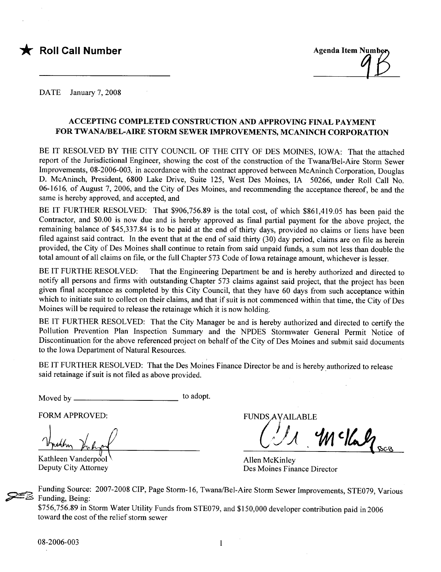



DATE January 7, 2008

# ACCEPTING COMPLETED CONSTRUCTION AND APPROVING FINAL PAYMENT FOR TWANA/BEL-AIRE STORM SEWER IMPROVEMENTS, MCANINCH CORPORATION

BE IT RESOLVED BY THE CITY COUNCIL OF THE CITY OF DES MOINES, IOWA: That the attached report of the Jurisdictional Engineer, showing the cost of the construction of the Twana/Bel-Aire Storm Sewer Improvements, 08-2006-003, in accordance with the contract approved between McAninch Corporation, Douglas D. McAninch, President, 6800 Lake Drive, Suite 125, West Des Moines, IA 50266, under Roll Call No. 06-1616, of August 7, 2006, and the City of Des Moines, and recommending the acceptance thereof, be and the same is hereby approved, and accepted, and

BE IT FURTHER RESOLVED: That \$906,756.89 is the total cost, of which \$861,419.05 has been paid the Contractor, and \$0.00 is now due and is hereby approved as final partial payment for the above project, the remaining balance of \$45,337.84 is to be paid at the end of thirty days, provided no claims or liens have been filed against said contract. In the event that at the end of said thirty (30) day period, claims are on file as herein provided, the City of Des Moines shall continue to retain from said unpaid funds, a sum not less than double the total amount of all claims on file, or the full Chapter 573 Code of Iowa retainage amount, whichever is lesser.

BE IT FURTHE RESOLVED: That the Engineering Department be and is hereby authorized and directed to notify all persons and firms with outstanding Chapter 573 claims against said project, that the project has been given final acceptance as completed by this City Council, that they have 60 days from such acceptance within which to initiate suit to collect on their claims, and that if suit is not commenced within that time, the City of Des Moines will be required to release the retainage which it is now holding.

BE IT FURTHER RESOLVED: That the City Manager be and is hereby authorized and directed to certify the Pollution Prevention Plan Inspection Summary and the NPDES Stormwater General Permit Notice of Discontinuation for the above referenced project on behalf of the City of Des Moines and submit said documents to the Iowa Department of Natural Resources.

BE IT FURTHER RESOLVED: That the Des Moines Finance Director be and is hereby authorized to release said retain age if suit is not fied as above provided.

Moved by to adopt.

FORM APPROVED:

Kathleen Vanderpool Deputy City Attorney

**FUNDS AVAILABLE**  $4$ M c/Calz

Allen McKinley Des Moines Finance Director

Funding Source: 2007-2008 CIP, Page Storm-16, Twana/Bel-Aire Storm Sewer Improvements, STE079, Various<br>
\$156,756.89 in Storm Water Utility Funds from STE079, and \$150,000 developer contribution paid in 2006 Funding, Being:

toward the cost of the relief storm sewer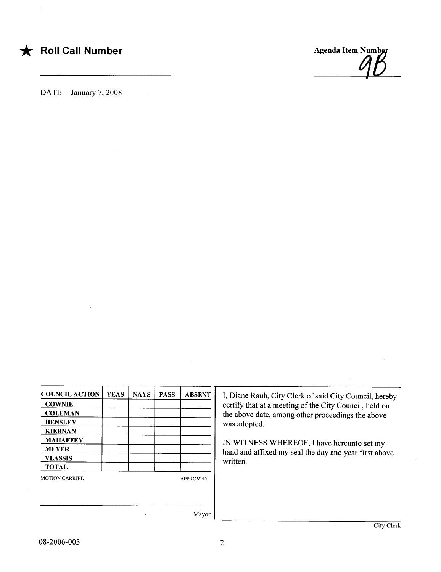# **\*** Roll Call Number

Agenda Item Number  $\overline{\mathcal{L}}$ 

DATE January 7, 2008

| <b>COUNCIL ACTION</b> | <b>YEAS</b>     | <b>NAYS</b> | <b>PASS</b> | <b>ABSENT</b> |
|-----------------------|-----------------|-------------|-------------|---------------|
| <b>COWNIE</b>         |                 |             |             |               |
| <b>COLEMAN</b>        |                 |             |             |               |
| <b>HENSLEY</b>        |                 |             |             |               |
| <b>KIERNAN</b>        |                 |             |             |               |
| <b>MAHAFFEY</b>       |                 |             |             |               |
| <b>MEYER</b>          |                 |             |             |               |
| <b>VLASSIS</b>        |                 |             |             |               |
| <b>TOTAL</b>          |                 |             |             |               |
| <b>MOTION CARRIED</b> | <b>APPROVED</b> |             |             |               |
|                       |                 |             |             |               |
|                       |                 |             |             | Mayor         |

I, Diane Rauh, City Clerk of said City Council, hereby certify that at a meeting of the City Council, held on the above date, among other proceedings the above was adopted.

IN WITNESS WHEREOF, I have hereunto set my hand and affxed my seal the day and year first above written.

 $\ddot{\phantom{1}}$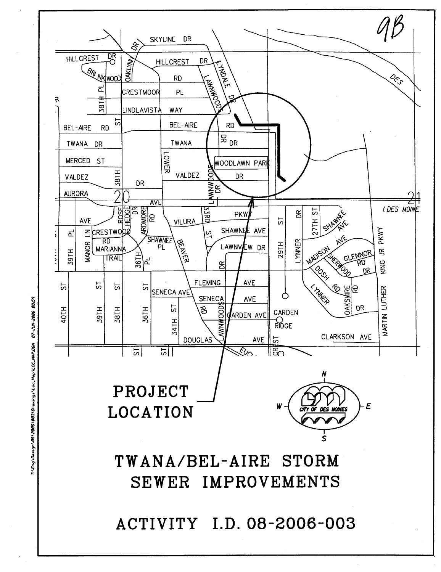

07-JUN-2006 08:59 IndC.MAP.DOJ/GeN.co3\Orgungs\Loc.Map\LOC.MAP.DGW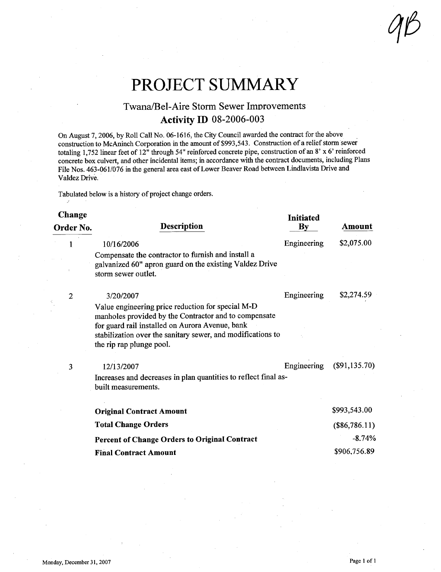$QB$ 

# PROJECT SUMMARY

# Twana/Bel-Aire Storm Sewer Improvements **Activity ID 08-2006-003**

On August 7, 2006, by Roll Call No. 06-1616, the City Council awarded the contract for the above construction to McAninch Corporation in the amount of \$993,543. Construction of a relief storm sewer totaling 1,752 linear feet of 12" through 54" reinforced concrete pipe, construction of an 8' x 6' reinforced concrete box culvert, and other incidental items; in accordance with the contract documents, including Plans File Nos. 463-061/076 in the general area east of Lower Beaver Road between Lindlavista Drive and Valdez Drive.

Tabulated below is a history of project change orders.

"

#### Change Change Initiated<br>Order No. Description Description By  $\mathbf{B}\mathbf{v}$ 1 10/16/2006 Compensate the contractor to furnish and install a galvanized 60" apron guard on the existing Valdez Drive storm sewer outlet. Engineering 2 3/20/2007 Value engineering price reduction for special M-D manholes provided by the Contractor and to compensate for guard rail installed on Aurora Avenue, bank stabilization over the sanitary sewer, and modifications to the rip rap plunge pool. Engineering Amount \$2,075.00 \$2,274.59 3 12/13/2007 Engineering (\$91,135.70) Increases and decreases in plan quantities to reflect final asbuilt measurements. Original Contract Amount Total Change Orders Percent of Change Orders to Original Contract Final Contract Amount \$993,543.00  $(\$86,786.11)$ -8.74% \$906.756.89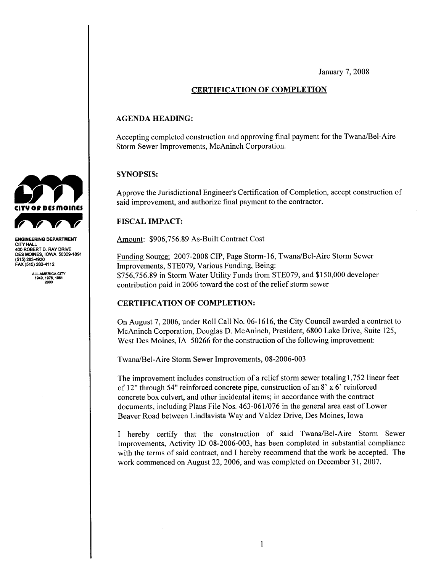January 7, 2008

# CERTIFICATION OF COMPLETION

### AGENDA HEADING:

Accepting completed construction and approving final payment for the Twana/Bel-Aire Storm Sewer Improvements, McAninch Corporation.

#### SYNOPSIS:

Approve the Jurisdictional Engineer's Certification of Completion, accept construction of said improvement, and authorize final payment to the contractor.

## FISCAL IMPACT:

Amount: \$906,756.89 As-Built Contract Cost

Funding Source: 2007-2008 CIP, Page Storm-16, Twana/Bel-Aire Storm Sewer Improvements, STE079, Various Funding, Being: \$756,756.89 in Storm Water Utility Funds from STE079, and \$150,000 developer contribution paid in 2006 toward the cost of the relief storm sewer

## CERTIFICATION OF COMPLETION:

On August 7,2006, under Roll Call No. 06-1616, the City Council awarded a contract to McAninch Corporation, Douglas D. McAninch, President, 6800 Lake Drive, Suite 125, West Des Moines, IA 50266 for the construction of the following improvement:

Twana/Bel-Aire Storm Sewer Improvements, 08-2006-003

The improvement includes construction of a relief storm sewer totaling 1,752 linear feet of 12" through 54" reinforced concrete pipe, construction of an 8' x 6' reinforced concrete box culvert, and other incidental items; in accordance with the contract documents, including Plans File Nos. 463-061/076 in the general area east of Lower Beaver Road between Lindlavista Way and Valdez Drive, Des Moines, Iowa

I hereby certify that the construction of said Twanalel-Aire Storm Sewer Improvements, Activity ID 08-2006-003, has been completed in substantial compliance with the terms of said contract, and I hereby recommend that the work be accepted. The work commenced on August 22, 2006, and was completed on December 31,2007.



ENGINEERING DEPARTMENT CITY HALL 400 ROBERT D. RAY DRIVE DES MOINES, IOWA 50309-1891 (515) 283-4920<br>FAX (515) 283-4112

ALL.AMICA CITY 1949,1976.1961 203